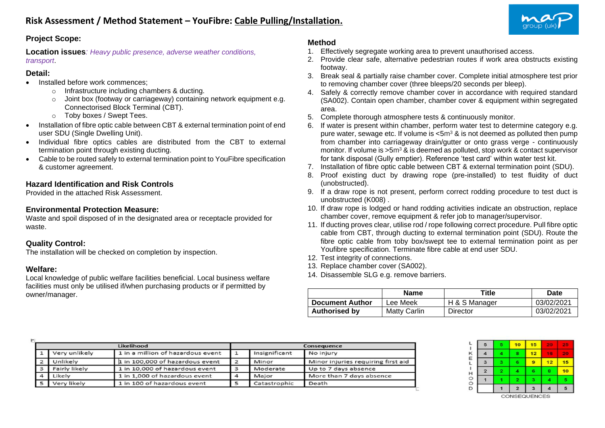

# **Project Scope:**

**Location issues***: Heavy public presence, adverse weather conditions, transport*.

#### **Detail:**

- Installed before work commences:
	- o Infrastructure including chambers & ducting.
	- o Joint box (footway or carriageway) containing network equipment e.g. Connectorised Block Terminal (CBT).
	- o Toby boxes / Swept Tees.
- Installation of fibre optic cable between CBT & external termination point of end user SDU (Single Dwelling Unit).
- Individual fibre optics cables are distributed from the CBT to external termination point through existing ducting.
- Cable to be routed safely to external termination point to YouFibre specification & customer agreement.

# **Hazard Identification and Risk Controls**

Provided in the attached Risk Assessment.

#### **Environmental Protection Measure:**

Waste and spoil disposed of in the designated area or receptacle provided for waste.

### **Quality Control:**

The installation will be checked on completion by inspection.

#### **Welfare:**

Local knowledge of public welfare facilities beneficial. Local business welfare facilities must only be utilised if/when purchasing products or if permitted by owner/manager.

# **Method**

- 1. Effectively segregate working area to prevent unauthorised access.
- 2. Provide clear safe, alternative pedestrian routes if work area obstructs existing footway.
- 3. Break seal & partially raise chamber cover. Complete initial atmosphere test prior to removing chamber cover (three bleeps/20 seconds per bleep).
- 4. Safely & correctly remove chamber cover in accordance with required standard (SA002). Contain open chamber, chamber cover & equipment within segregated area.
- 5. Complete thorough atmosphere tests & continuously monitor.
- 6. If water is present within chamber, perform water test to determine category e.g. pure water, sewage etc. If volume is  $\leq 5m^3$  & is not deemed as polluted then pump from chamber into carriageway drain/gutter or onto grass verge - continuously monitor. If volume is  $>5m^3$  & is deemed as polluted, stop work & contact supervisor for tank disposal (Gully emptier). Reference 'test card' within water test kit.
- 7. Installation of fibre optic cable between CBT & external termination point (SDU).
- 8. Proof existing duct by drawing rope (pre-installed) to test fluidity of duct (unobstructed).
- 9. If a draw rope is not present, perform correct rodding procedure to test duct is unobstructed (K008) .
- 10. If draw rope is lodged or hand rodding activities indicate an obstruction, replace chamber cover, remove equipment & refer job to manager/supervisor.
- 11. If ducting proves clear, utilise rod / rope following correct procedure. Pull fibre optic cable from CBT, through ducting to external termination point (SDU). Route the fibre optic cable from toby box/swept tee to external termination point as per Youfibre specification. Terminate fibre cable at end user SDU.
- 12. Test integrity of connections.
- 13. Replace chamber cover (SA002).
- 14. Disassemble SLG e.g. remove barriers.

|                        | <b>Name</b>  | Title         | Date       |
|------------------------|--------------|---------------|------------|
| <b>Document Author</b> | Lee Meek     | H & S Manager | 03/02/2021 |
| <b>Authorised by</b>   | Matty Carlin | Director      | 03/02/2021 |

|                |               | Likelihood                        | Consequence   |                                    |  |  |
|----------------|---------------|-----------------------------------|---------------|------------------------------------|--|--|
|                | Very unlikely | 1 in a million of hazardous event | Insignificant | No injury                          |  |  |
| $\overline{2}$ | Unlikely      | 1 in 100,000 of hazardous event   | Minor         | Minor injuries requiring first aid |  |  |
| 3              | Fairly likely | 1 in 10,000 of hazardous event    | Moderate      | Up to 7 days absence               |  |  |
| Δ              | Likely        | 1 in 1,000 of hazardous event     | Maior         | More than 7 days absence           |  |  |
|                | Very likely   | 1 in 100 of hazardous event       | Catastrophic  | Death                              |  |  |

| 5 | 5  | 10             | 15 | v. | 25 |
|---|----|----------------|----|----|----|
| 4 | 4  | 8              | 12 | 16 | 20 |
| 3 | з  | 6              | 9  | 12 | 15 |
| 2 | 2. | 4              | 6  | 8  | 10 |
|   |    | 2              | з  | 4  | 5  |
|   |    | $\overline{2}$ | 3  |    | 5  |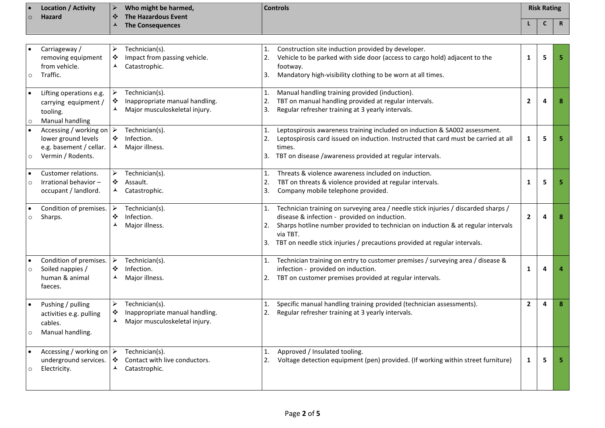| $\bullet$ | <b>Location / Activity</b> |           | Who might be harmed, | <b>Controls</b> | <b>Risk Rating</b> |             |
|-----------|----------------------------|-----------|----------------------|-----------------|--------------------|-------------|
| $\circ$   | <b>Hazard</b>              | $\bullet$ | The Hazardous Event  |                 |                    |             |
|           |                            |           | The Consequences     |                 |                    | $\mathbf R$ |

| $\circ$              | Carriageway /<br>removing equipment<br>from vehicle.<br>Traffic.                                               | ➤<br>❖<br>$\blacktriangle$                                    | Technician(s).<br>Impact from passing vehicle.<br>Catastrophic.                   | 1.<br>2.<br>3. | Construction site induction provided by developer.<br>Vehicle to be parked with side door (access to cargo hold) adjacent to the<br>footway.<br>Mandatory high-visibility clothing to be worn at all times.                                                                                                     | $\mathbf{1}$   | 5 |  |
|----------------------|----------------------------------------------------------------------------------------------------------------|---------------------------------------------------------------|-----------------------------------------------------------------------------------|----------------|-----------------------------------------------------------------------------------------------------------------------------------------------------------------------------------------------------------------------------------------------------------------------------------------------------------------|----------------|---|--|
| $\bullet$<br>$\circ$ | Lifting operations e.g.<br>carrying equipment /<br>tooling.<br>Manual handling                                 | $\blacktriangleright$<br>$\ddot{\bullet}$<br>$\blacktriangle$ | Technician(s).<br>Inappropriate manual handling.<br>Major musculoskeletal injury. | 1.<br>2.<br>3. | Manual handling training provided (induction).<br>TBT on manual handling provided at regular intervals.<br>Regular refresher training at 3 yearly intervals.                                                                                                                                                    | $\mathbf{2}$   | 4 |  |
| $\circ$              | Accessing / working on $\triangleright$<br>lower ground levels<br>e.g. basement / cellar.<br>Vermin / Rodents. | $\ddot{\bullet}$<br>$\blacktriangle$                          | Technician(s).<br>Infection.<br>Major illness.                                    | 1.<br>3.       | Leptospirosis awareness training included on induction & SA002 assessment.<br>Leptospirosis card issued on induction. Instructed that card must be carried at all<br>times.<br>TBT on disease /awareness provided at regular intervals.                                                                         | $\mathbf{1}$   | 5 |  |
| $\bullet$<br>$\circ$ | Customer relations.<br>Irrational behavior-<br>occupant / landlord.                                            | ➤<br>❖<br>ᄉ                                                   | Technician(s).<br>Assault.<br>Catastrophic.                                       | 1.<br>2.<br>3. | Threats & violence awareness included on induction.<br>TBT on threats & violence provided at regular intervals.<br>Company mobile telephone provided.                                                                                                                                                           | 1              | 5 |  |
| $\bullet$<br>$\circ$ | Condition of premises.<br>Sharps.                                                                              | $\blacktriangleright$<br>❖<br>⋏                               | Technician(s).<br>Infection.<br>Major illness.                                    | 1.<br>2.<br>3. | Technician training on surveying area / needle stick injuries / discarded sharps /<br>disease & infection - provided on induction.<br>Sharps hotline number provided to technician on induction & at regular intervals<br>via TBT.<br>TBT on needle stick injuries / precautions provided at regular intervals. | $\overline{2}$ | 4 |  |
| $\bullet$<br>$\circ$ | Condition of premises.<br>Soiled nappies /<br>human & animal<br>faeces.                                        | ➤<br>❖<br>⋏                                                   | Technician(s).<br>Infection.<br>Major illness.                                    | 1.<br>2.       | Technician training on entry to customer premises / surveying area / disease &<br>infection - provided on induction.<br>TBT on customer premises provided at regular intervals.                                                                                                                                 | $\mathbf{1}$   | 4 |  |
| $\bullet$<br>$\circ$ | Pushing / pulling<br>activities e.g. pulling<br>cables.<br>Manual handling.                                    | ➤<br>❖<br>▲                                                   | Technician(s).<br>Inappropriate manual handling.<br>Major musculoskeletal injury. | 1.<br>2.       | Specific manual handling training provided (technician assessments).<br>Regular refresher training at 3 yearly intervals.                                                                                                                                                                                       | $\overline{2}$ | 4 |  |
| $\bullet$<br>$\circ$ | Accessing / working on $\triangleright$<br>underground services.<br>Electricity.                               | ❖<br>▴                                                        | Technician(s).<br>Contact with live conductors.<br>Catastrophic.                  | 1.<br>2.       | Approved / Insulated tooling.<br>Voltage detection equipment (pen) provided. (If working within street furniture)                                                                                                                                                                                               | $\mathbf{1}$   | 5 |  |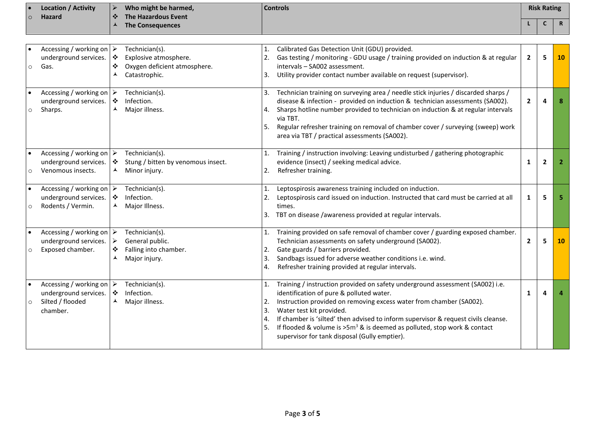|         | <b>Location / Activity</b> | Who might be harmed,    | <b>Controls</b> | <b>Risk Rating</b> |          |
|---------|----------------------------|-------------------------|-----------------|--------------------|----------|
| $\circ$ | <b>Hazard</b>              | The Hazardous Event     |                 |                    |          |
|         |                            | <b>The Consequences</b> |                 |                    | <b>D</b> |

| $\circ$ | Accessing / working on $\triangleright$<br>underground services.<br>Gas.                         | $\ddot{\cdot}$<br>❖<br>⋏ | Technician(s).<br>Explosive atmosphere.<br>Oxygen deficient atmosphere.<br>Catastrophic. | 1.<br>2.<br>3.             | Calibrated Gas Detection Unit (GDU) provided.<br>Gas testing / monitoring - GDU usage / training provided on induction & at regular<br>intervals - SA002 assessment.<br>Utility provider contact number available on request (supervisor).                                                                                                                                                                                                         | $\overline{2}$ | 5              | <b>10</b> |
|---------|--------------------------------------------------------------------------------------------------|--------------------------|------------------------------------------------------------------------------------------|----------------------------|----------------------------------------------------------------------------------------------------------------------------------------------------------------------------------------------------------------------------------------------------------------------------------------------------------------------------------------------------------------------------------------------------------------------------------------------------|----------------|----------------|-----------|
| $\circ$ | Accessing / working on<br>underground services.<br>Sharps.                                       | է<br>$\ddot{\cdot}$<br>⋏ | Technician(s).<br>Infection.<br>Major illness.                                           | 3.<br>4.<br>5.             | Technician training on surveying area / needle stick injuries / discarded sharps /<br>disease & infection - provided on induction & technician assessments (SA002).<br>Sharps hotline number provided to technician on induction & at regular intervals<br>via TBT.<br>Regular refresher training on removal of chamber cover / surveying (sweep) work<br>area via TBT / practical assessments (SA002).                                            | $\overline{2}$ | 4              | 8         |
| $\circ$ | Accessing / working on $\triangleright$<br>underground services.<br>Venomous insects.            | ❖<br>▲                   | Technician(s).<br>Stung / bitten by venomous insect.<br>Minor injury.                    | $\mathbf{1}$ .<br>2.       | Training / instruction involving: Leaving undisturbed / gathering photographic<br>evidence (insect) / seeking medical advice.<br>Refresher training.                                                                                                                                                                                                                                                                                               | 1              | $\overline{2}$ | -2        |
| $\circ$ | Accessing / working on $\triangleright$<br>underground services.<br>Rodents / Vermin.            | $\cdot$<br>⋏             | Technician(s).<br>Infection.<br>Major Illness.                                           | 2.<br>3.                   | Leptospirosis awareness training included on induction.<br>Leptospirosis card issued on induction. Instructed that card must be carried at all<br>times.<br>TBT on disease /awareness provided at regular intervals.                                                                                                                                                                                                                               | 1              | 5              |           |
| $\circ$ | Accessing / working on $\triangleright$<br>underground services.<br>Exposed chamber.             | ➤<br>❖<br>▴              | Technician(s).<br>General public.<br>Falling into chamber.<br>Major injury.              | 1.<br>2.<br>3.<br>4.       | Training provided on safe removal of chamber cover / guarding exposed chamber.<br>Technician assessments on safety underground (SA002).<br>Gate guards / barriers provided.<br>Sandbags issued for adverse weather conditions i.e. wind.<br>Refresher training provided at regular intervals.                                                                                                                                                      | $\overline{2}$ | 5              | <b>10</b> |
| $\circ$ | Accessing / working on $\triangleright$<br>underground services.<br>Silted / flooded<br>chamber. | $\ddot{\cdot}$<br>⋏      | Technician(s).<br>Infection.<br>Major illness.                                           | 1.<br>2.<br>3.<br>4.<br>5. | Training / instruction provided on safety underground assessment (SA002) i.e.<br>identification of pure & polluted water.<br>Instruction provided on removing excess water from chamber (SA002).<br>Water test kit provided.<br>If chamber is 'silted' then advised to inform supervisor & request civils cleanse.<br>If flooded & volume is $>5m^3$ & is deemed as polluted, stop work & contact<br>supervisor for tank disposal (Gully emptier). | 1              | Δ              |           |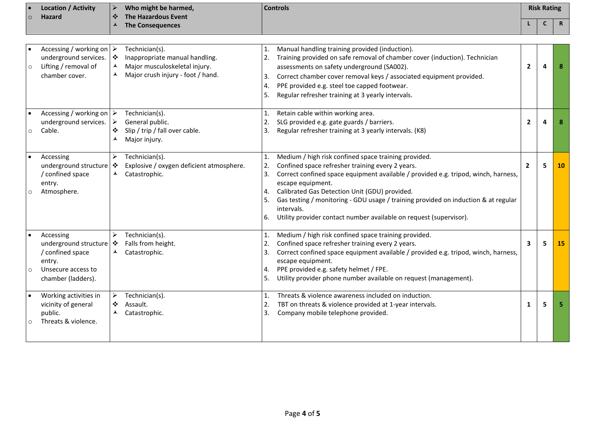| $\circ$ | <b>Location / Activity</b><br><b>Hazard</b>                                                                      | $\triangleright$<br>❖              | Who might be harmed,<br><b>The Hazardous Event</b>                                                                     |                                  | <b>Controls</b>                                                                                                                                                                                                                                                                                                                                                                                                                                |              | <b>Risk Rating</b> |             |
|---------|------------------------------------------------------------------------------------------------------------------|------------------------------------|------------------------------------------------------------------------------------------------------------------------|----------------------------------|------------------------------------------------------------------------------------------------------------------------------------------------------------------------------------------------------------------------------------------------------------------------------------------------------------------------------------------------------------------------------------------------------------------------------------------------|--------------|--------------------|-------------|
|         |                                                                                                                  | ⋏                                  | <b>The Consequences</b>                                                                                                |                                  |                                                                                                                                                                                                                                                                                                                                                                                                                                                |              | C                  | $\mathbf R$ |
|         |                                                                                                                  |                                    |                                                                                                                        |                                  |                                                                                                                                                                                                                                                                                                                                                                                                                                                |              |                    |             |
| $\circ$ | Accessing / working on $\triangleright$<br>underground services.<br>Lifting / removal of<br>chamber cover.       | $\bullet$<br>$\blacktriangle$<br>⋏ | Technician(s).<br>Inappropriate manual handling.<br>Major musculoskeletal injury.<br>Major crush injury - foot / hand. | 1.<br>2.<br>3.<br>4.<br>5.       | Manual handling training provided (induction).<br>Training provided on safe removal of chamber cover (induction). Technician<br>assessments on safety underground (SA002).<br>Correct chamber cover removal keys / associated equipment provided.<br>PPE provided e.g. steel toe capped footwear.<br>Regular refresher training at 3 yearly intervals.                                                                                         | $\mathbf{2}$ | $\Delta$           | 8           |
| $\circ$ | Accessing / working on $\triangleright$<br>underground services.<br>Cable.                                       | ➤<br>❖<br>▴                        | Technician(s).<br>General public.<br>Slip / trip / fall over cable.<br>Major injury.                                   | 1.<br>2.<br>3.                   | Retain cable within working area.<br>SLG provided e.g. gate guards / barriers.<br>Regular refresher training at 3 yearly intervals. (K8)                                                                                                                                                                                                                                                                                                       | $\mathbf{2}$ | Δ                  | 8           |
|         | Accessing<br>underground structure<br>/ confined space<br>entry.<br>Atmosphere.                                  | ➤<br>٠<br>⋏                        | Technician(s).<br>Explosive / oxygen deficient atmosphere.<br>Catastrophic.                                            | 1.<br>2.<br>3.<br>4.<br>5.<br>6. | Medium / high risk confined space training provided.<br>Confined space refresher training every 2 years.<br>Correct confined space equipment available / provided e.g. tripod, winch, harness,<br>escape equipment.<br>Calibrated Gas Detection Unit (GDU) provided.<br>Gas testing / monitoring - GDU usage / training provided on induction & at regular<br>intervals.<br>Utility provider contact number available on request (supervisor). | $\mathbf{2}$ | 5                  | 10          |
| $\circ$ | Accessing<br>underground structure   ❖<br>/ confined space<br>entry.<br>Unsecure access to<br>chamber (ladders). | ➤                                  | Technician(s).<br>Falls from height.<br>Catastrophic.                                                                  | 1.<br>2.<br>3.<br>4.<br>5.       | Medium / high risk confined space training provided.<br>Confined space refresher training every 2 years.<br>Correct confined space equipment available / provided e.g. tripod, winch, harness,<br>escape equipment.<br>PPE provided e.g. safety helmet / FPE.<br>Utility provider phone number available on request (management).                                                                                                              | $\mathbf{3}$ | 5                  | 15          |
|         | Working activities in<br>vicinity of general<br>public.<br>Threats & violence.                                   | ➤<br>❖<br>⋏                        | Technician(s).<br>Assault.<br>Catastrophic.                                                                            | 1.<br>2.<br>3.                   | Threats & violence awareness included on induction.<br>TBT on threats & violence provided at 1-year intervals.<br>Company mobile telephone provided.                                                                                                                                                                                                                                                                                           | 1            | 5                  | 5           |